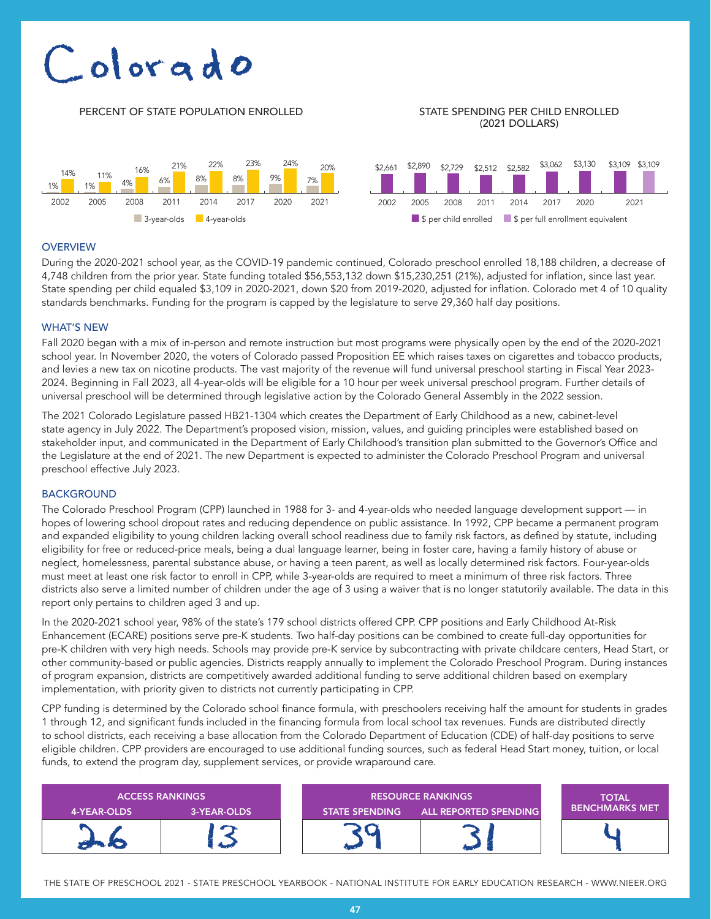# Colorado

#### PERCENT OF STATE POPULATION ENROLLED STATE SPENDING PER CHILD ENROLLED (2021 DOLLARS)



### **OVERVIEW**

During the 2020-2021 school year, as the COVID-19 pandemic continued, Colorado preschool enrolled 18,188 children, a decrease of 4,748 children from the prior year. State funding totaled \$56,553,132 down \$15,230,251 (21%), adjusted for inflation, since last year. State spending per child equaled \$3,109 in 2020-2021, down \$20 from 2019-2020, adjusted for inflation. Colorado met 4 of 10 quality standards benchmarks. Funding for the program is capped by the legislature to serve 29,360 half day positions.

#### WHAT'S NEW

Fall 2020 began with a mix of in-person and remote instruction but most programs were physically open by the end of the 2020-2021 school year. In November 2020, the voters of Colorado passed Proposition EE which raises taxes on cigarettes and tobacco products, and levies a new tax on nicotine products. The vast majority of the revenue will fund universal preschool starting in Fiscal Year 2023- 2024. Beginning in Fall 2023, all 4-year-olds will be eligible for a 10 hour per week universal preschool program. Further details of universal preschool will be determined through legislative action by the Colorado General Assembly in the 2022 session.

The 2021 Colorado Legislature passed HB21-1304 which creates the Department of Early Childhood as a new, cabinet-level state agency in July 2022. The Department's proposed vision, mission, values, and guiding principles were established based on stakeholder input, and communicated in the Department of Early Childhood's transition plan submitted to the Governor's Office and the Legislature at the end of 2021. The new Department is expected to administer the Colorado Preschool Program and universal preschool effective July 2023.

#### BACKGROUND

The Colorado Preschool Program (CPP) launched in 1988 for 3- and 4-year-olds who needed language development support — in hopes of lowering school dropout rates and reducing dependence on public assistance. In 1992, CPP became a permanent program and expanded eligibility to young children lacking overall school readiness due to family risk factors, as defined by statute, including eligibility for free or reduced-price meals, being a dual language learner, being in foster care, having a family history of abuse or neglect, homelessness, parental substance abuse, or having a teen parent, as well as locally determined risk factors. Four-year-olds must meet at least one risk factor to enroll in CPP, while 3-year-olds are required to meet a minimum of three risk factors. Three districts also serve a limited number of children under the age of 3 using a waiver that is no longer statutorily available. The data in this report only pertains to children aged 3 and up.

In the 2020-2021 school year, 98% of the state's 179 school districts offered CPP. CPP positions and Early Childhood At-Risk Enhancement (ECARE) positions serve pre-K students. Two half-day positions can be combined to create full-day opportunities for pre-K children with very high needs. Schools may provide pre-K service by subcontracting with private childcare centers, Head Start, or other community-based or public agencies. Districts reapply annually to implement the Colorado Preschool Program. During instances of program expansion, districts are competitively awarded additional funding to serve additional children based on exemplary implementation, with priority given to districts not currently participating in CPP.

CPP funding is determined by the Colorado school finance formula, with preschoolers receiving half the amount for students in grades 1 through 12, and significant funds included in the financing formula from local school tax revenues. Funds are distributed directly to school districts, each receiving a base allocation from the Colorado Department of Education (CDE) of half-day positions to serve eligible children. CPP providers are encouraged to use additional funding sources, such as federal Head Start money, tuition, or local funds, to extend the program day, supplement services, or provide wraparound care.

| <b>ACCESS RANKINGS</b> |             | <b>RESOURCE RANKINGS</b> |                              | <b>TOTAL</b>          |
|------------------------|-------------|--------------------------|------------------------------|-----------------------|
| 4-YEAR-OLDS            | 3-YEAR-OLDS | <b>STATE SPENDING</b>    | <b>ALL REPORTED SPENDING</b> | <b>BENCHMARKS MET</b> |
|                        |             |                          |                              |                       |

THE STATE OF PRESCHOOL 2021 - STATE PRESCHOOL YEARBOOK - NATIONAL INSTITUTE FOR EARLY EDUCATION RESEARCH - WWW.NIEER.ORG